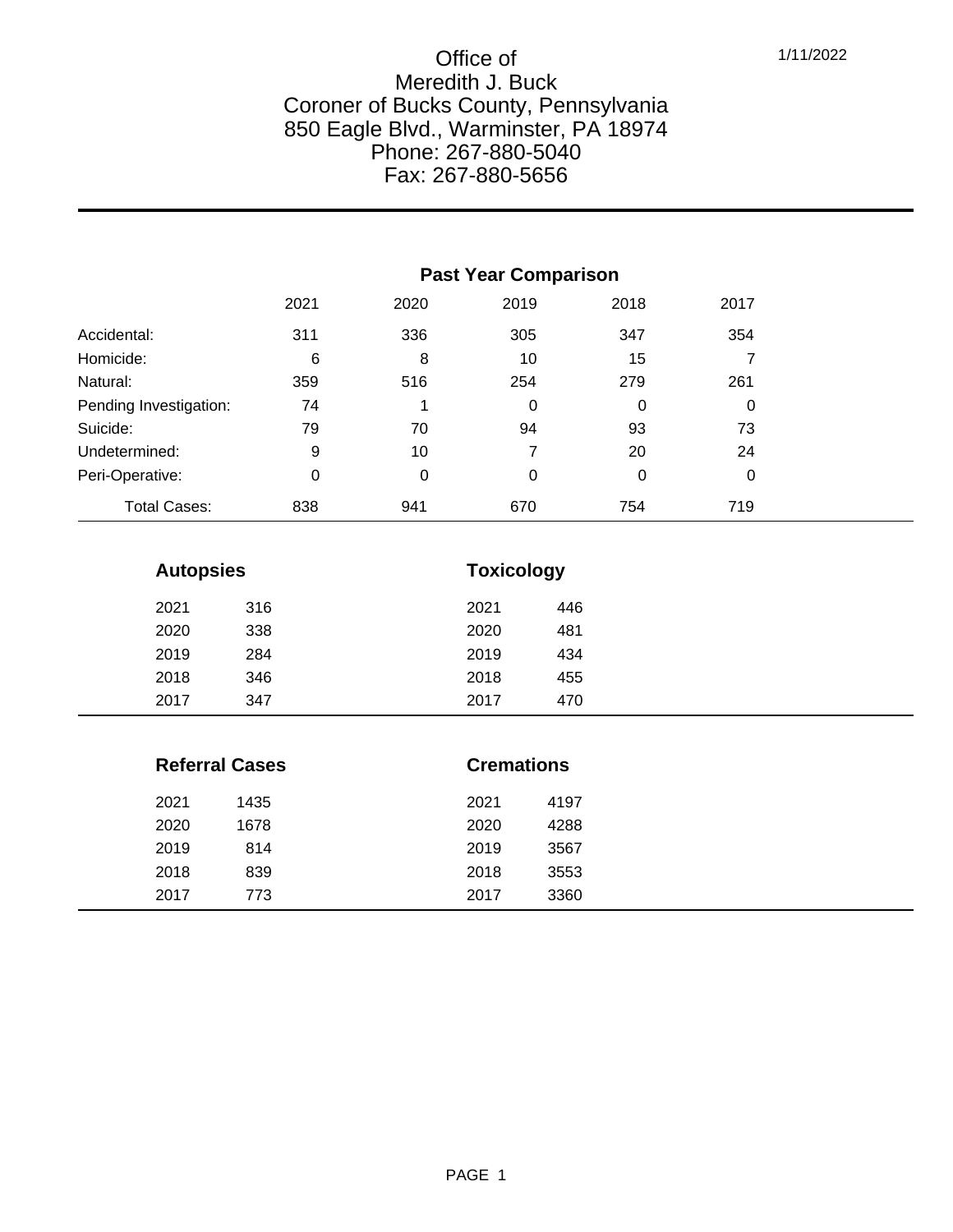|                        | <b>Past Year Comparison</b> |      |      |      |      |
|------------------------|-----------------------------|------|------|------|------|
|                        | 2021                        | 2020 | 2019 | 2018 | 2017 |
| Accidental:            | 311                         | 336  | 305  | 347  | 354  |
| Homicide:              | 6                           | 8    | 10   | 15   |      |
| Natural:               | 359                         | 516  | 254  | 279  | 261  |
| Pending Investigation: | 74                          |      | 0    | 0    | 0    |
| Suicide:               | 79                          | 70   | 94   | 93   | 73   |
| Undetermined:          | 9                           | 10   | 7    | 20   | 24   |
| Peri-Operative:        | 0                           | 0    | 0    | 0    | 0    |
| <b>Total Cases:</b>    | 838                         | 941  | 670  | 754  | 719  |

| <b>Autopsies</b> |     |      | <b>Toxicology</b> |  |  |
|------------------|-----|------|-------------------|--|--|
| 2021             | 316 | 2021 | 446               |  |  |
| 2020             | 338 | 2020 | 481               |  |  |
| 2019             | 284 | 2019 | 434               |  |  |
| 2018             | 346 | 2018 | 455               |  |  |
| 2017             | 347 | 2017 | 470               |  |  |

| <b>Referral Cases</b> |      |      | <b>Cremations</b> |  |  |
|-----------------------|------|------|-------------------|--|--|
| 2021                  | 1435 | 2021 | 4197              |  |  |
| 2020                  | 1678 | 2020 | 4288              |  |  |
| 2019                  | 814  | 2019 | 3567              |  |  |
| 2018                  | 839  | 2018 | 3553              |  |  |
| 2017                  | 773  | 2017 | 3360              |  |  |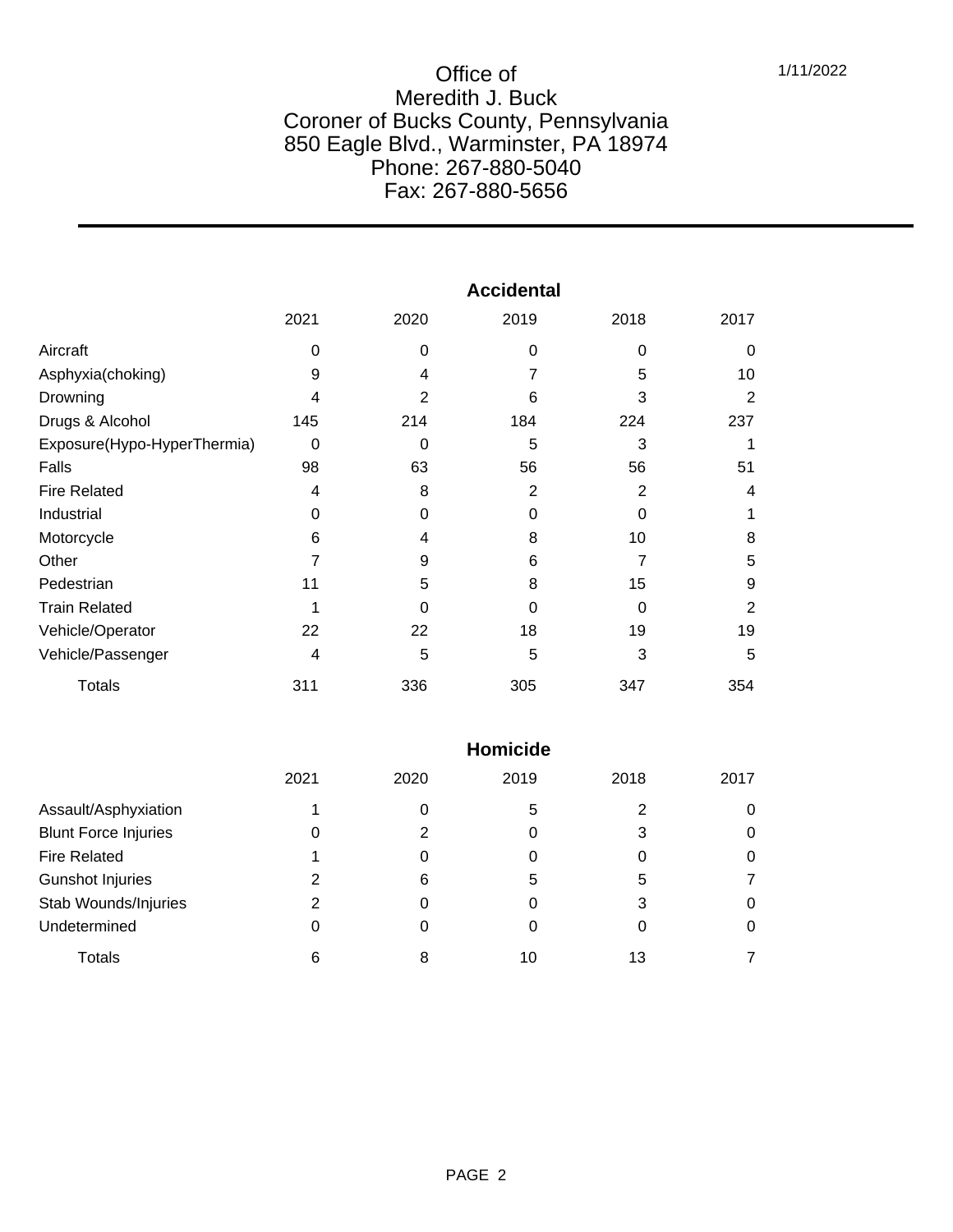|                             | <b>Accidental</b> |                |      |          |                |  |
|-----------------------------|-------------------|----------------|------|----------|----------------|--|
|                             | 2021              | 2020           | 2019 | 2018     | 2017           |  |
| Aircraft                    | $\Omega$          | 0              | 0    | 0        | $\Omega$       |  |
| Asphyxia(choking)           | 9                 | 4              |      | 5        | 10             |  |
| Drowning                    | 4                 | $\overline{2}$ | 6    | 3        | 2              |  |
| Drugs & Alcohol             | 145               | 214            | 184  | 224      | 237            |  |
| Exposure(Hypo-HyperThermia) | $\Omega$          | 0              | 5    | 3        |                |  |
| Falls                       | 98                | 63             | 56   | 56       | 51             |  |
| <b>Fire Related</b>         | 4                 | 8              | 2    | 2        | 4              |  |
| Industrial                  | $\Omega$          | 0              | 0    | $\Omega$ |                |  |
| Motorcycle                  | 6                 | 4              | 8    | 10       | 8              |  |
| Other                       |                   | 9              | 6    | 7        | 5              |  |
| Pedestrian                  | 11                | 5              | 8    | 15       | 9              |  |
| <b>Train Related</b>        |                   | 0              | 0    | $\Omega$ | $\overline{2}$ |  |
| Vehicle/Operator            | 22                | 22             | 18   | 19       | 19             |  |
| Vehicle/Passenger           | 4                 | 5              | 5    | 3        | 5              |  |
| <b>Totals</b>               | 311               | 336            | 305  | 347      | 354            |  |

|                             | <b>Homicide</b> |      |      |      |      |  |  |
|-----------------------------|-----------------|------|------|------|------|--|--|
|                             | 2021            | 2020 | 2019 | 2018 | 2017 |  |  |
| Assault/Asphyxiation        |                 |      | 5    | 2    |      |  |  |
| <b>Blunt Force Injuries</b> | 0               |      | 0    | 3    | 0    |  |  |
| <b>Fire Related</b>         |                 |      |      |      | 0    |  |  |
| <b>Gunshot Injuries</b>     | 2               | 6    | 5    | 5    |      |  |  |
| Stab Wounds/Injuries        | 2               |      | 0    | 3    | O    |  |  |
| Undetermined                | 0               |      |      | O    | O    |  |  |
| Totals                      | 6               | 8    | 10   | 13   |      |  |  |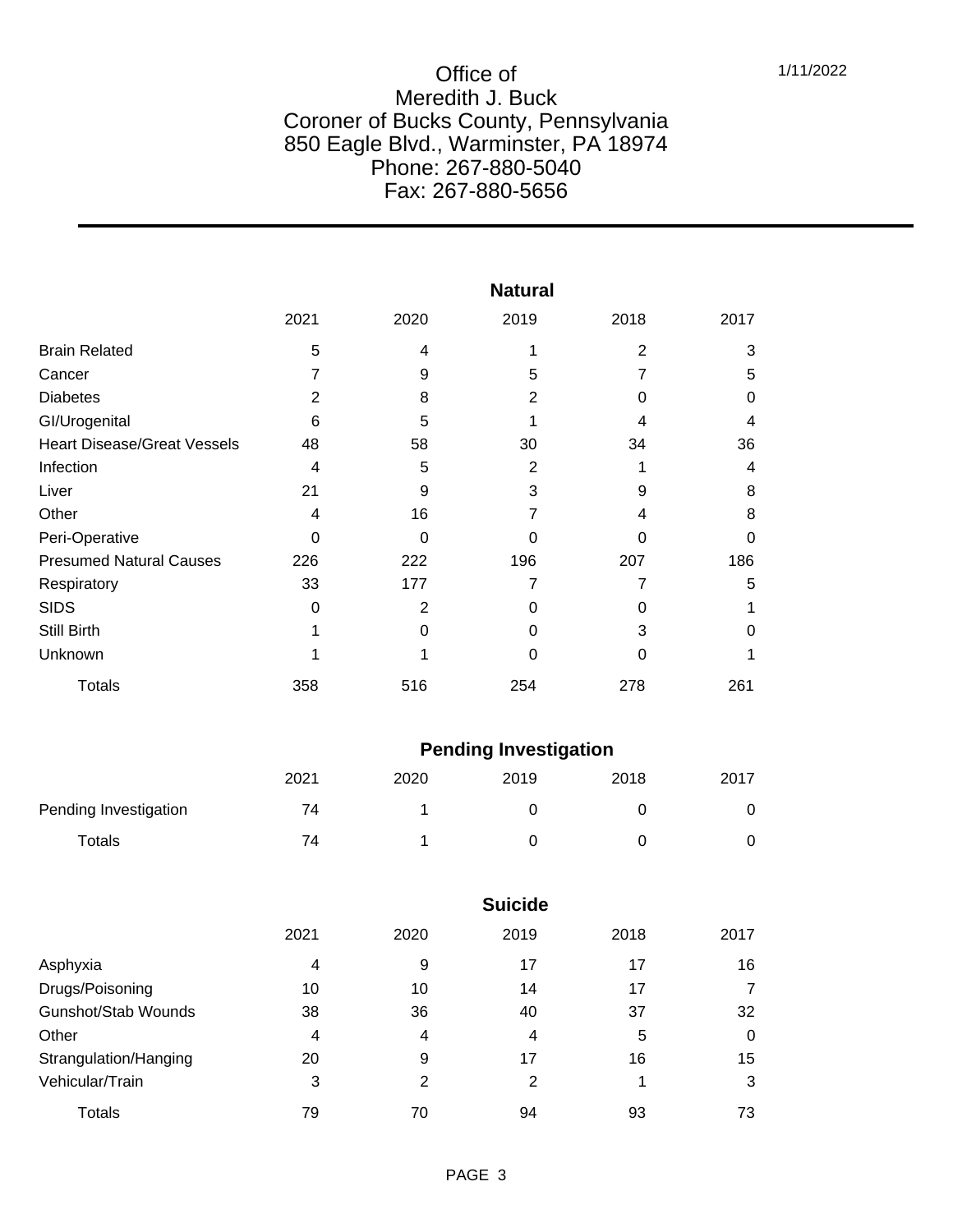|                                    | <b>Natural</b> |          |      |                |          |  |
|------------------------------------|----------------|----------|------|----------------|----------|--|
|                                    | 2021           | 2020     | 2019 | 2018           | 2017     |  |
| <b>Brain Related</b>               | 5              | 4        |      | $\overline{2}$ | 3        |  |
| Cancer                             | 7              | 9        | 5    | 7              | 5        |  |
| <b>Diabetes</b>                    | 2              | 8        | 2    | 0              | 0        |  |
| GI/Urogenital                      | 6              | 5        |      | 4              | 4        |  |
| <b>Heart Disease/Great Vessels</b> | 48             | 58       | 30   | 34             | 36       |  |
| Infection                          | 4              | 5        | 2    |                | 4        |  |
| Liver                              | 21             | 9        | 3    | 9              | 8        |  |
| Other                              | 4              | 16       |      | 4              | 8        |  |
| Peri-Operative                     | 0              | $\Omega$ | O    | 0              | $\Omega$ |  |
| <b>Presumed Natural Causes</b>     | 226            | 222      | 196  | 207            | 186      |  |
| Respiratory                        | 33             | 177      |      | 7              | 5        |  |
| <b>SIDS</b>                        | 0              | 2        | 0    | 0              |          |  |
| <b>Still Birth</b>                 |                | ი        |      | 3              | O        |  |
| Unknown                            |                |          | 0    | 0              |          |  |
| <b>Totals</b>                      | 358            | 516      | 254  | 278            | 261      |  |

|                       | <b>Pending Investigation</b> |      |      |      |      |  |
|-----------------------|------------------------------|------|------|------|------|--|
|                       | 2021                         | 2020 | 2019 | 2018 | 2017 |  |
| Pending Investigation | 74                           |      |      |      |      |  |
| Totals                | 74                           |      |      |      |      |  |

|                       | <b>Suicide</b> |      |      |      |      |  |  |
|-----------------------|----------------|------|------|------|------|--|--|
|                       | 2021           | 2020 | 2019 | 2018 | 2017 |  |  |
| Asphyxia              | 4              | 9    | 17   | 17   | 16   |  |  |
| Drugs/Poisoning       | 10             | 10   | 14   | 17   | 7    |  |  |
| Gunshot/Stab Wounds   | 38             | 36   | 40   | 37   | 32   |  |  |
| Other                 | 4              | 4    | 4    | 5    | 0    |  |  |
| Strangulation/Hanging | 20             | 9    | 17   | 16   | 15   |  |  |
| Vehicular/Train       | 3              | 2    | 2    |      | 3    |  |  |
| <b>Totals</b>         | 79             | 70   | 94   | 93   | 73   |  |  |